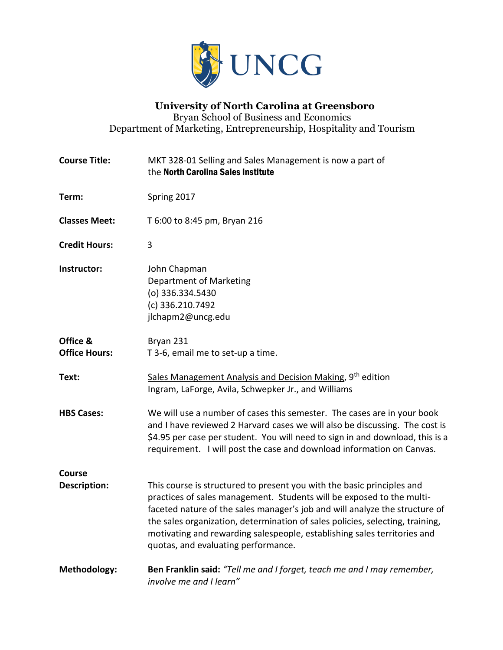

### **University of North Carolina at Greensboro** Bryan School of Business and Economics Department of Marketing, Entrepreneurship, Hospitality and Tourism

| <b>Course Title:</b>             | MKT 328-01 Selling and Sales Management is now a part of<br>the North Carolina Sales Institute                                                                                                                                                                                                                                                                                                                                     |
|----------------------------------|------------------------------------------------------------------------------------------------------------------------------------------------------------------------------------------------------------------------------------------------------------------------------------------------------------------------------------------------------------------------------------------------------------------------------------|
| Term:                            | Spring 2017                                                                                                                                                                                                                                                                                                                                                                                                                        |
| <b>Classes Meet:</b>             | T 6:00 to 8:45 pm, Bryan 216                                                                                                                                                                                                                                                                                                                                                                                                       |
| <b>Credit Hours:</b>             | 3                                                                                                                                                                                                                                                                                                                                                                                                                                  |
| Instructor:                      | John Chapman<br>Department of Marketing<br>(o) 336.334.5430<br>(c) 336.210.7492<br>jlchapm2@uncg.edu                                                                                                                                                                                                                                                                                                                               |
| Office &<br><b>Office Hours:</b> | Bryan 231<br>T 3-6, email me to set-up a time.                                                                                                                                                                                                                                                                                                                                                                                     |
| Text:                            | Sales Management Analysis and Decision Making, 9 <sup>th</sup> edition<br>Ingram, LaForge, Avila, Schwepker Jr., and Williams                                                                                                                                                                                                                                                                                                      |
| <b>HBS Cases:</b>                | We will use a number of cases this semester. The cases are in your book<br>and I have reviewed 2 Harvard cases we will also be discussing. The cost is<br>\$4.95 per case per student. You will need to sign in and download, this is a<br>requirement. I will post the case and download information on Canvas.                                                                                                                   |
| <b>Course</b>                    |                                                                                                                                                                                                                                                                                                                                                                                                                                    |
| <b>Description:</b>              | This course is structured to present you with the basic principles and<br>practices of sales management. Students will be exposed to the multi-<br>faceted nature of the sales manager's job and will analyze the structure of<br>the sales organization, determination of sales policies, selecting, training,<br>motivating and rewarding salespeople, establishing sales territories and<br>quotas, and evaluating performance. |
| Methodology:                     | Ben Franklin said: "Tell me and I forget, teach me and I may remember,<br>involve me and I learn"                                                                                                                                                                                                                                                                                                                                  |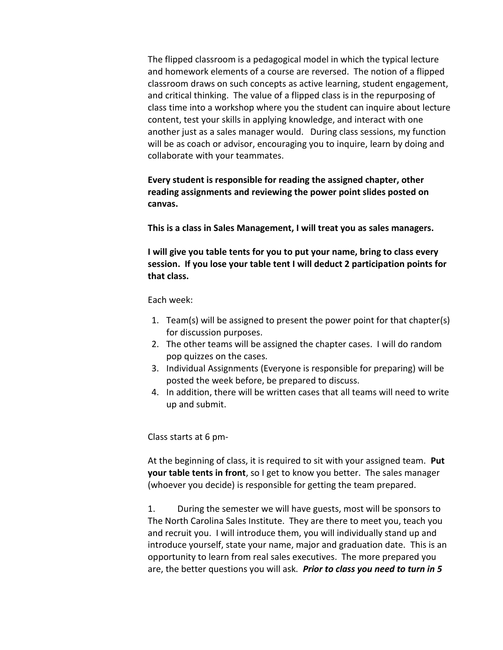The flipped classroom is a pedagogical model in which the typical lecture and homework elements of a course are reversed. The notion of a flipped classroom draws on such concepts as active learning, student engagement, and critical thinking. The value of a flipped class is in the repurposing of class time into a workshop where you the student can inquire about lecture content, test your skills in applying knowledge, and interact with one another just as a sales manager would. During class sessions, my function will be as coach or advisor, encouraging you to inquire, learn by doing and collaborate with your teammates.

**Every student is responsible for reading the assigned chapter, other reading assignments and reviewing the power point slides posted on canvas.** 

**This is a class in Sales Management, I will treat you as sales managers.**

**I will give you table tents for you to put your name, bring to class every session. If you lose your table tent I will deduct 2 participation points for that class.**

Each week:

- 1. Team(s) will be assigned to present the power point for that chapter(s) for discussion purposes.
- 2. The other teams will be assigned the chapter cases. I will do random pop quizzes on the cases.
- 3. Individual Assignments (Everyone is responsible for preparing) will be posted the week before, be prepared to discuss.
- 4. In addition, there will be written cases that all teams will need to write up and submit.

Class starts at 6 pm-

At the beginning of class, it is required to sit with your assigned team. **Put your table tents in front**, so I get to know you better. The sales manager (whoever you decide) is responsible for getting the team prepared.

1. During the semester we will have guests, most will be sponsors to The North Carolina Sales Institute. They are there to meet you, teach you and recruit you. I will introduce them, you will individually stand up and introduce yourself, state your name, major and graduation date. This is an opportunity to learn from real sales executives. The more prepared you are, the better questions you will ask. *Prior to class you need to turn in 5*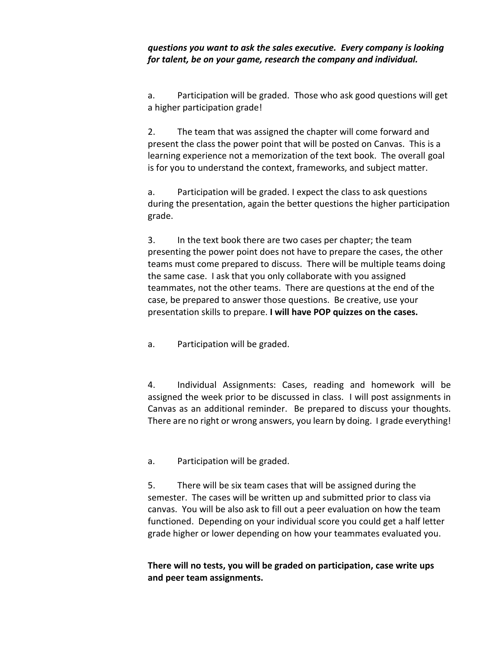### *questions you want to ask the sales executive. Every company is looking for talent, be on your game, research the company and individual.*

a. Participation will be graded. Those who ask good questions will get a higher participation grade!

2. The team that was assigned the chapter will come forward and present the class the power point that will be posted on Canvas. This is a learning experience not a memorization of the text book. The overall goal is for you to understand the context, frameworks, and subject matter.

a. Participation will be graded. I expect the class to ask questions during the presentation, again the better questions the higher participation grade.

3. In the text book there are two cases per chapter; the team presenting the power point does not have to prepare the cases, the other teams must come prepared to discuss. There will be multiple teams doing the same case. I ask that you only collaborate with you assigned teammates, not the other teams. There are questions at the end of the case, be prepared to answer those questions. Be creative, use your presentation skills to prepare. **I will have POP quizzes on the cases.**

a. Participation will be graded.

4. Individual Assignments: Cases, reading and homework will be assigned the week prior to be discussed in class. I will post assignments in Canvas as an additional reminder. Be prepared to discuss your thoughts. There are no right or wrong answers, you learn by doing. I grade everything!

a. Participation will be graded.

5. There will be six team cases that will be assigned during the semester. The cases will be written up and submitted prior to class via canvas. You will be also ask to fill out a peer evaluation on how the team functioned. Depending on your individual score you could get a half letter grade higher or lower depending on how your teammates evaluated you.

**There will no tests, you will be graded on participation, case write ups and peer team assignments.**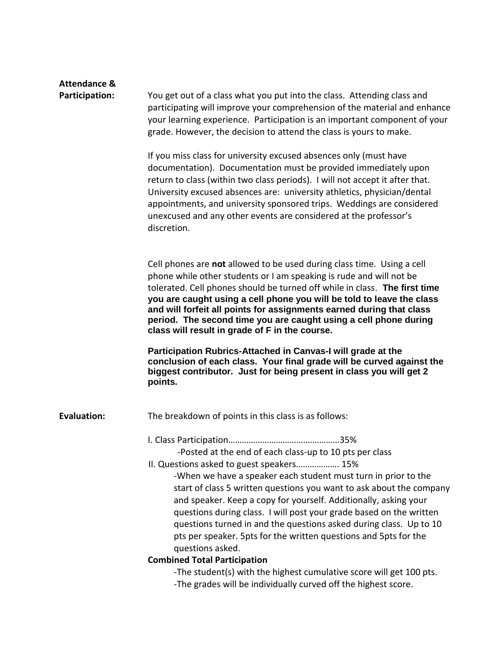| <b>Attendance &amp;</b><br>Participation: | You get out of a class what you put into the class. Attending class and<br>participating will improve your comprehension of the material and enhance<br>your learning experience. Participation is an important component of your<br>grade. However, the decision to attend the class is yours to make.<br>If you miss class for university excused absences only (must have<br>documentation). Documentation must be provided immediately upon<br>return to class (within two class periods). I will not accept it after that.<br>University excused absences are: university athletics, physician/dental<br>appointments, and university sponsored trips. Weddings are considered |
|-------------------------------------------|-------------------------------------------------------------------------------------------------------------------------------------------------------------------------------------------------------------------------------------------------------------------------------------------------------------------------------------------------------------------------------------------------------------------------------------------------------------------------------------------------------------------------------------------------------------------------------------------------------------------------------------------------------------------------------------|
|                                           | unexcused and any other events are considered at the professor's<br>discretion.                                                                                                                                                                                                                                                                                                                                                                                                                                                                                                                                                                                                     |
|                                           | Cell phones are not allowed to be used during class time. Using a cell<br>phone while other students or I am speaking is rude and will not be<br>tolerated. Cell phones should be turned off while in class. The first time<br>you are caught using a cell phone you will be told to leave the class<br>and will forfeit all points for assignments earned during that class<br>period. The second time you are caught using a cell phone during<br>class will result in grade of F in the course.                                                                                                                                                                                  |
|                                           | Participation Rubrics-Attached in Canvas-I will grade at the<br>conclusion of each class. Your final grade will be curved against the<br>biggest contributor. Just for being present in class you will get 2<br>points.                                                                                                                                                                                                                                                                                                                                                                                                                                                             |
| <b>Evaluation:</b>                        | The breakdown of points in this class is as follows:                                                                                                                                                                                                                                                                                                                                                                                                                                                                                                                                                                                                                                |
|                                           | -Posted at the end of each class-up to 10 pts per class                                                                                                                                                                                                                                                                                                                                                                                                                                                                                                                                                                                                                             |
|                                           | II. Questions asked to guest speakers 15%<br>-When we have a speaker each student must turn in prior to the<br>start of class 5 written questions you want to ask about the company<br>and speaker. Keep a copy for yourself. Additionally, asking your<br>questions during class. I will post your grade based on the written<br>questions turned in and the questions asked during class. Up to 10<br>pts per speaker. 5pts for the written questions and 5pts for the<br>questions asked.                                                                                                                                                                                        |
|                                           | <b>Combined Total Participation</b>                                                                                                                                                                                                                                                                                                                                                                                                                                                                                                                                                                                                                                                 |
|                                           | -The student(s) with the highest cumulative score will get 100 pts.<br>-The grades will be individually curved off the highest score.                                                                                                                                                                                                                                                                                                                                                                                                                                                                                                                                               |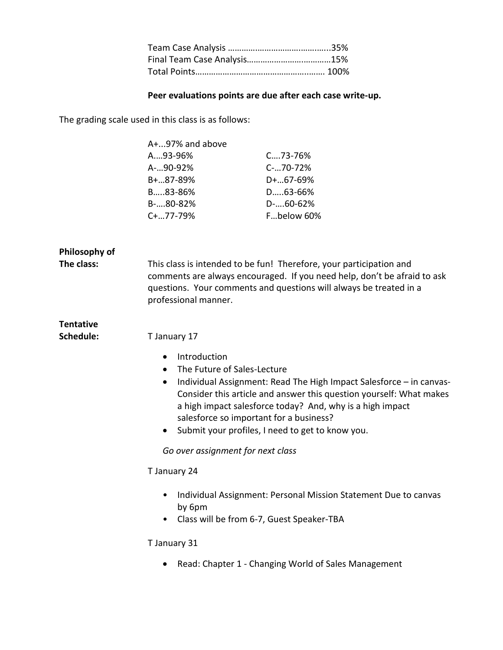#### **Peer evaluations points are due after each case write-up.**

The grading scale used in this class is as follows:

| $A+.97\%$ and above |                      |
|---------------------|----------------------|
| $A_{\dots}$ 93-96%  | $C_{\dots}$ . 73-76% |
| A-90-92%            | $C$ -70-72%          |
| $B+.0.87-89%$       | $D+.67-69%$          |
| B83-86%             | D63-66%              |
| $B$ -80-82%         | $D$ -60-62%          |
| $C+.077-79%$        | Fbelow 60%           |

| Philosophy of |  |
|---------------|--|
|---------------|--|

**The class:** This class is intended to be fun! Therefore, your participation and comments are always encouraged. If you need help, don't be afraid to ask questions. Your comments and questions will always be treated in a professional manner.

### **Tentative**

**Schedule:** T January 17

- Introduction
- The Future of Sales-Lecture
- Individual Assignment: Read The High Impact Salesforce in canvas-Consider this article and answer this question yourself: What makes a high impact salesforce today? And, why is a high impact salesforce so important for a business?
- Submit your profiles, I need to get to know you.

*Go over assignment for next class*

#### T January 24

- Individual Assignment: Personal Mission Statement Due to canvas by 6pm
- Class will be from 6-7, Guest Speaker-TBA

#### T January 31

Read: Chapter 1 - Changing World of Sales Management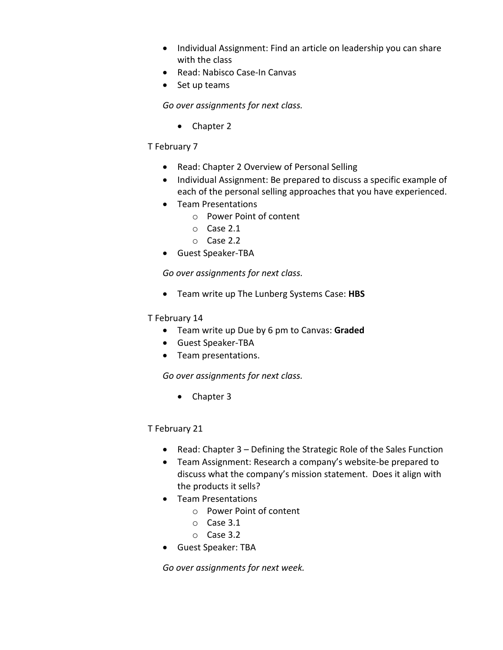- Individual Assignment: Find an article on leadership you can share with the class
- Read: Nabisco Case-In Canvas
- Set up teams

*Go over assignments for next class.*

• Chapter 2

### T February 7

- Read: Chapter 2 Overview of Personal Selling
- Individual Assignment: Be prepared to discuss a specific example of each of the personal selling approaches that you have experienced.
- Team Presentations
	- o Power Point of content
	- o Case 2.1
	- o Case 2.2
- Guest Speaker-TBA

*Go over assignments for next class.*

Team write up The Lunberg Systems Case: **HBS**

### T February 14

- Team write up Due by 6 pm to Canvas: **Graded**
- Guest Speaker-TBA
- Team presentations.

*Go over assignments for next class.*

• Chapter 3

## T February 21

- Read: Chapter 3 Defining the Strategic Role of the Sales Function
- Team Assignment: Research a company's website-be prepared to discuss what the company's mission statement. Does it align with the products it sells?
- **•** Team Presentations
	- o Power Point of content
	- o Case 3.1
	- o Case 3.2
- Guest Speaker: TBA

*Go over assignments for next week.*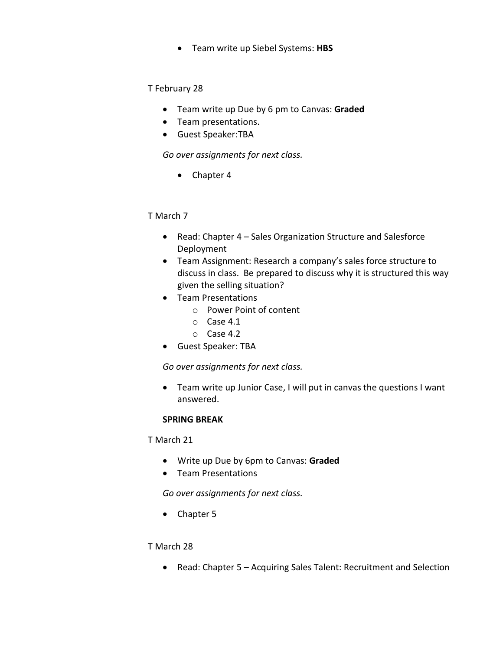Team write up Siebel Systems: **HBS**

### T February 28

- Team write up Due by 6 pm to Canvas: **Graded**
- Team presentations.
- Guest Speaker:TBA

*Go over assignments for next class.*

• Chapter 4

### T March 7

- Read: Chapter 4 Sales Organization Structure and Salesforce Deployment
- Team Assignment: Research a company's sales force structure to discuss in class. Be prepared to discuss why it is structured this way given the selling situation?
- Team Presentations
	- o Power Point of content
	- o Case 4.1
	- o Case 4.2
- Guest Speaker: TBA

*Go over assignments for next class.*

 Team write up Junior Case, I will put in canvas the questions I want answered.

### **SPRING BREAK**

T March 21

- Write up Due by 6pm to Canvas: **Graded**
- Team Presentations

*Go over assignments for next class.*

• Chapter 5

### T March 28

Read: Chapter 5 – Acquiring Sales Talent: Recruitment and Selection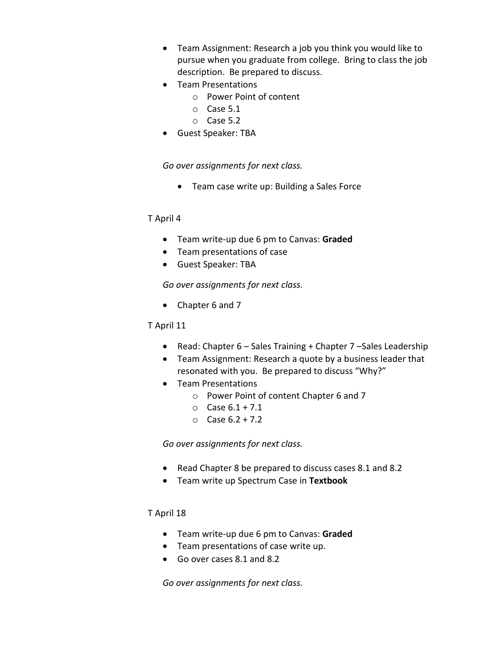- Team Assignment: Research a job you think you would like to pursue when you graduate from college. Bring to class the job description. Be prepared to discuss.
- Team Presentations
	- o Power Point of content
	- o Case 5.1
	- o Case 5.2
- Guest Speaker: TBA

*Go over assignments for next class.*

Team case write up: Building a Sales Force

#### T April 4

- Team write-up due 6 pm to Canvas: **Graded**
- Team presentations of case
- Guest Speaker: TBA

*Go over assignments for next class.*

• Chapter 6 and 7

#### T April 11

- Read: Chapter 6 Sales Training + Chapter 7 Sales Leadership
- Team Assignment: Research a quote by a business leader that resonated with you. Be prepared to discuss "Why?"
- Team Presentations
	- o Power Point of content Chapter 6 and 7
	- $O$  Case  $6.1 + 7.1$
	- $O \ \text{Case } 6.2 + 7.2$

*Go over assignments for next class.*

- Read Chapter 8 be prepared to discuss cases 8.1 and 8.2
- Team write up Spectrum Case in **Textbook**

#### T April 18

- Team write-up due 6 pm to Canvas: **Graded**
- Team presentations of case write up.
- Go over cases 8.1 and 8.2

*Go over assignments for next class.*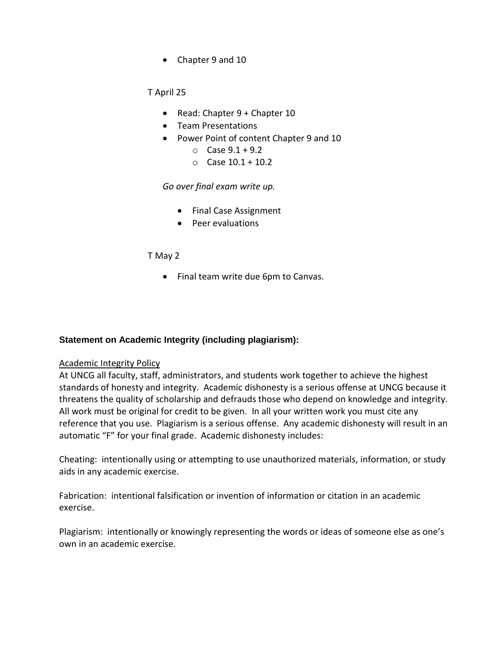• Chapter 9 and 10

T April 25

- Read: Chapter 9 + Chapter 10
- Team Presentations
- Power Point of content Chapter 9 and 10
	- $O_{C}$  Case 9.1 + 9.2
	- $O$  Case  $10.1 + 10.2$

*Go over final exam write up.*

- Final Case Assignment
- Peer evaluations

#### T May 2

• Final team write due 6pm to Canvas.

#### **Statement on Academic Integrity (including plagiarism):**

#### Academic Integrity Policy

At UNCG all faculty, staff, administrators, and students work together to achieve the highest standards of honesty and integrity. Academic dishonesty is a serious offense at UNCG because it threatens the quality of scholarship and defrauds those who depend on knowledge and integrity. All work must be original for credit to be given. In all your written work you must cite any reference that you use. Plagiarism is a serious offense. Any academic dishonesty will result in an automatic "F" for your final grade. Academic dishonesty includes:

Cheating: intentionally using or attempting to use unauthorized materials, information, or study aids in any academic exercise.

Fabrication: intentional falsification or invention of information or citation in an academic exercise.

Plagiarism: intentionally or knowingly representing the words or ideas of someone else as one's own in an academic exercise.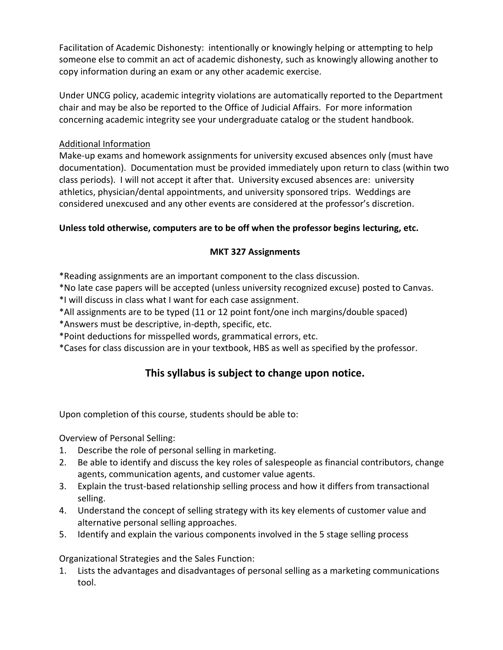Facilitation of Academic Dishonesty: intentionally or knowingly helping or attempting to help someone else to commit an act of academic dishonesty, such as knowingly allowing another to copy information during an exam or any other academic exercise.

Under UNCG policy, academic integrity violations are automatically reported to the Department chair and may be also be reported to the Office of Judicial Affairs. For more information concerning academic integrity see your undergraduate catalog or the student handbook.

### Additional Information

Make-up exams and homework assignments for university excused absences only (must have documentation). Documentation must be provided immediately upon return to class (within two class periods). I will not accept it after that. University excused absences are: university athletics, physician/dental appointments, and university sponsored trips. Weddings are considered unexcused and any other events are considered at the professor's discretion.

## **Unless told otherwise, computers are to be off when the professor begins lecturing, etc.**

### **MKT 327 Assignments**

\*Reading assignments are an important component to the class discussion.

\*No late case papers will be accepted (unless university recognized excuse) posted to Canvas.

\*I will discuss in class what I want for each case assignment.

- \*All assignments are to be typed (11 or 12 point font/one inch margins/double spaced)
- \*Answers must be descriptive, in-depth, specific, etc.
- \*Point deductions for misspelled words, grammatical errors, etc.

\*Cases for class discussion are in your textbook, HBS as well as specified by the professor.

# **This syllabus is subject to change upon notice.**

Upon completion of this course, students should be able to:

Overview of Personal Selling:

- 1. Describe the role of personal selling in marketing.
- 2. Be able to identify and discuss the key roles of salespeople as financial contributors, change agents, communication agents, and customer value agents.
- 3. Explain the trust-based relationship selling process and how it differs from transactional selling.
- 4. Understand the concept of selling strategy with its key elements of customer value and alternative personal selling approaches.
- 5. Identify and explain the various components involved in the 5 stage selling process

Organizational Strategies and the Sales Function:

1. Lists the advantages and disadvantages of personal selling as a marketing communications tool.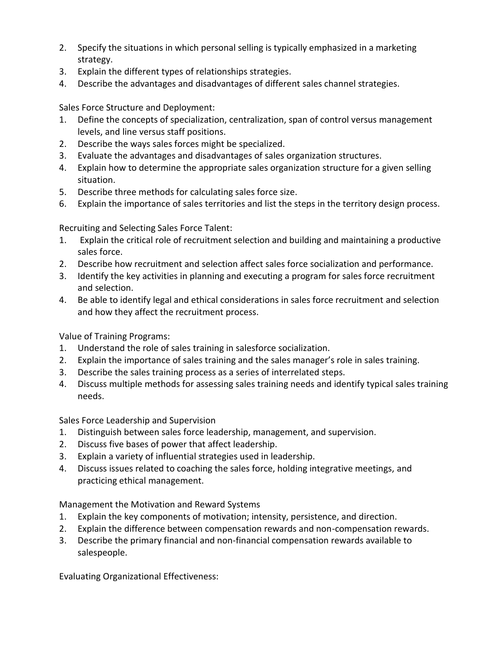- 2. Specify the situations in which personal selling is typically emphasized in a marketing strategy.
- 3. Explain the different types of relationships strategies.
- 4. Describe the advantages and disadvantages of different sales channel strategies.

Sales Force Structure and Deployment:

- 1. Define the concepts of specialization, centralization, span of control versus management levels, and line versus staff positions.
- 2. Describe the ways sales forces might be specialized.
- 3. Evaluate the advantages and disadvantages of sales organization structures.
- 4. Explain how to determine the appropriate sales organization structure for a given selling situation.
- 5. Describe three methods for calculating sales force size.
- 6. Explain the importance of sales territories and list the steps in the territory design process.

Recruiting and Selecting Sales Force Talent:

- 1. Explain the critical role of recruitment selection and building and maintaining a productive sales force.
- 2. Describe how recruitment and selection affect sales force socialization and performance.
- 3. Identify the key activities in planning and executing a program for sales force recruitment and selection.
- 4. Be able to identify legal and ethical considerations in sales force recruitment and selection and how they affect the recruitment process.

Value of Training Programs:

- 1. Understand the role of sales training in salesforce socialization.
- 2. Explain the importance of sales training and the sales manager's role in sales training.
- 3. Describe the sales training process as a series of interrelated steps.
- 4. Discuss multiple methods for assessing sales training needs and identify typical sales training needs.

Sales Force Leadership and Supervision

- 1. Distinguish between sales force leadership, management, and supervision.
- 2. Discuss five bases of power that affect leadership.
- 3. Explain a variety of influential strategies used in leadership.
- 4. Discuss issues related to coaching the sales force, holding integrative meetings, and practicing ethical management.

Management the Motivation and Reward Systems

- 1. Explain the key components of motivation; intensity, persistence, and direction.
- 2. Explain the difference between compensation rewards and non-compensation rewards.
- 3. Describe the primary financial and non-financial compensation rewards available to salespeople.

Evaluating Organizational Effectiveness: